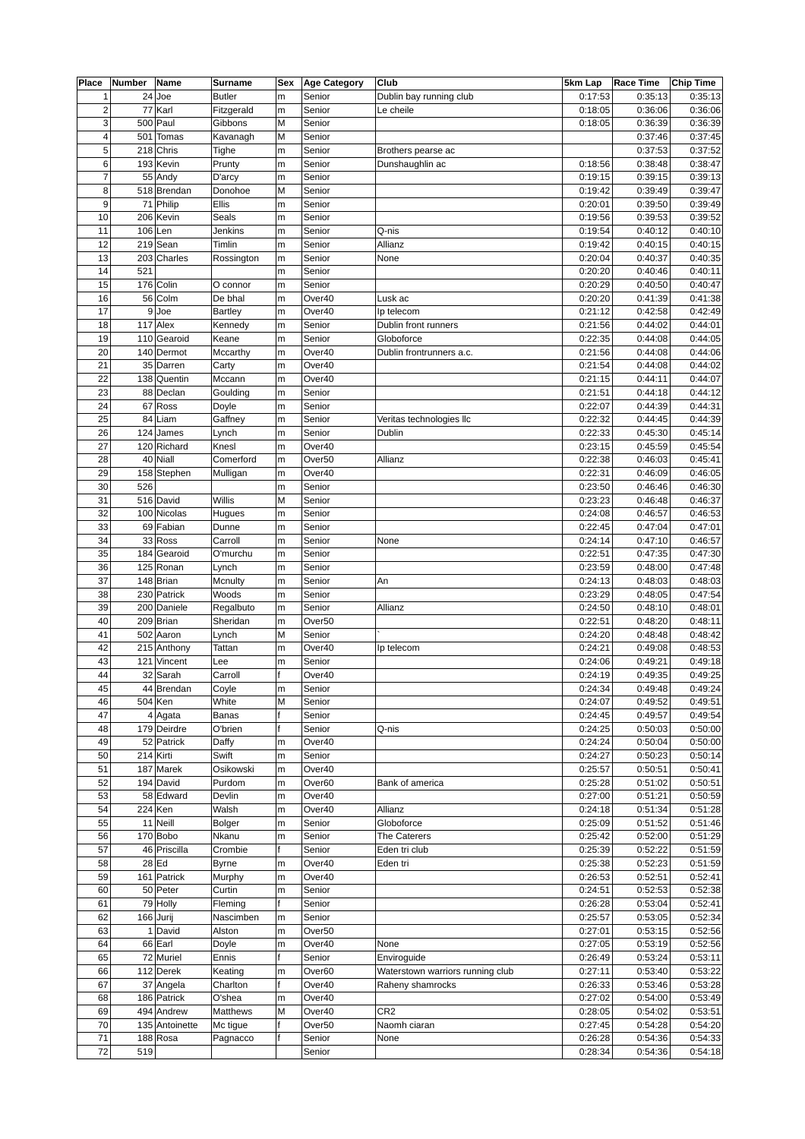| Place           | Number | Name           | Surname        | Sex | <b>Age Category</b> | <b>Club</b>                      | 5km Lap | <b>Race Time</b> | <b>Chip Time</b> |
|-----------------|--------|----------------|----------------|-----|---------------------|----------------------------------|---------|------------------|------------------|
| $\mathbf 1$     |        | $24$ Joe       | <b>Butler</b>  | m   | Senior              | Dublin bay running club          | 0:17:53 | 0:35:13          | 0:35:13          |
| $\overline{c}$  |        | 77 Karl        | Fitzgerald     | m   | Senior              | Le cheile                        | 0:18:05 | 0:36:06          | 0:36:06          |
| 3               |        | $500$ Paul     | Gibbons        | М   | Senior              |                                  | 0:18:05 | 0:36:39          | 0:36:39          |
| $\overline{4}$  |        | 501 Tomas      | Kavanagh       | М   | Senior              |                                  |         | 0:37:46          | 0:37:45          |
| 5               |        | 218 Chris      | Tighe          | m   | Senior              | Brothers pearse ac               |         | 0:37:53          | 0:37:52          |
| 6               |        | 193 Kevin      | Prunty         | m   | Senior              | Dunshaughlin ac                  | 0:18:56 | 0:38:48          | 0:38:47          |
| $\overline{7}$  |        | 55 Andy        | D'arcy         | m   | Senior              |                                  | 0:19:15 | 0:39:15          | 0:39:13          |
| 8               |        | 518 Brendan    | Donohoe        | М   | Senior              |                                  | 0:19:42 | 0:39:49          | 0:39:47          |
| 9               |        | 71 Philip      | Ellis          | m   | Senior              |                                  | 0:20:01 | 0:39:50          | 0:39:49          |
| 10              |        | 206 Kevin      |                |     | Senior              |                                  | 0:19:56 |                  | 0:39:52          |
|                 |        |                | Seals          | m   |                     |                                  |         | 0:39:53          | 0:40:10          |
| 11              |        | $106$ Len      | Jenkins        | m   | Senior              | Q-nis                            | 0:19:54 | 0:40:12          |                  |
| 12              |        | $219$ Sean     | Timlin         | m   | Senior              | Allianz                          | 0:19:42 | 0:40:15          | 0:40:15          |
| 13              |        | 203 Charles    | Rossington     | m   | Senior              | None                             | 0:20:04 | 0:40:37          | 0:40:35          |
| 14              | 521    |                |                | m   | Senior              |                                  | 0:20:20 | 0:40:46          | 0:40:11          |
| 15              |        | 176 Colin      | O connor       | m   | Senior              |                                  | 0:20:29 | 0:40:50          | 0:40:47          |
| 16              |        | 56 Colm        | De bhal        | m   | Over40              | Lusk ac                          | 0:20:20 | 0:41:39          | 0:41:38          |
| 17              |        | $9$ Joe        | <b>Bartley</b> | m   | Over40              | Ip telecom                       | 0:21:12 | 0:42:58          | 0:42:49          |
| 18              |        | $117$ Alex     | Kennedy        | m   | Senior              | Dublin front runners             | 0:21:56 | 0:44:02          | 0:44:01          |
| 19              |        | 110 Gearoid    | Keane          | m   | Senior              | Globoforce                       | 0:22:35 | 0:44:08          | 0:44:05          |
| 20              |        | 140 Dermot     | Mccarthy       | m   | Over40              | Dublin frontrunners a.c.         | 0:21:56 | 0:44:08          | 0:44:06          |
| 21              |        | 35 Darren      | Carty          | m   | Over40              |                                  | 0:21:54 | 0:44:08          | 0:44:02          |
| 22              |        | 138 Quentin    | Mccann         | m   | Over40              |                                  | 0:21:15 | 0:44:11          | 0:44:07          |
| 23              |        | 88 Declan      | Goulding       | m   | Senior              |                                  | 0:21:51 | 0:44:18          | 0:44:12          |
| 24              |        | 67 Ross        | Doyle          | m   | Senior              |                                  | 0:22:07 | 0:44:39          | 0:44:31          |
| 25              |        |                |                |     |                     |                                  |         | 0:44:45          |                  |
|                 |        | 84 Liam        | Gaffney        | m   | Senior              | Veritas technologies llc         | 0:22:32 |                  | 0:44:39          |
| 26              |        | $124$ James    | Lynch          | m   | Senior              | Dublin                           | 0:22:33 | 0:45:30          | 0:45:14          |
| 27              |        | 120 Richard    | Knesl          | m   | Over40              |                                  | 0:23:15 | 0:45:59          | 0:45:54          |
| 28              |        | 40 Niall       | Comerford      | m   | Over <sub>50</sub>  | Allianz                          | 0:22:38 | 0:46:03          | 0:45:41          |
| 29              |        | 158 Stephen    | Mulligan       | m   | Over40              |                                  | 0:22:31 | 0:46:09          | 0:46:05          |
| 30              | 526    |                |                | m   | Senior              |                                  | 0:23:50 | 0:46:46          | 0:46:30          |
| 31              |        | 516 David      | Willis         | М   | Senior              |                                  | 0:23:23 | 0:46:48          | 0:46:37          |
| 32              |        | 100 Nicolas    | Hugues         | m   | Senior              |                                  | 0:24:08 | 0:46:57          | 0:46:53          |
| 33              |        | 69 Fabian      | Dunne          | m   | Senior              |                                  | 0:22:45 | 0:47:04          | 0:47:01          |
| 34              |        | 33 Ross        | Carroll        | m   | Senior              | None                             | 0:24:14 | 0:47:10          | 0:46:57          |
| 35              |        | 184 Gearoid    | O'murchu       | m   | Senior              |                                  | 0:22:51 | 0:47:35          | 0:47:30          |
| 36              |        | 125 Ronan      | Lynch          | m   | Senior              |                                  | 0:23:59 | 0:48:00          | 0:47:48          |
| 37              |        | 148 Brian      | Mcnulty        | m   | Senior              | An                               | 0:24:13 | 0:48:03          | 0:48:03          |
| 38              |        | 230 Patrick    | Woods          | m   | Senior              |                                  | 0:23:29 | 0:48:05          | 0:47:54          |
| 39              |        |                |                |     | Senior              |                                  |         |                  |                  |
|                 |        | 200 Daniele    | Regalbuto      | m   |                     | Allianz                          | 0:24:50 | 0:48:10          | 0:48:01          |
| 40              |        | 209 Brian      | Sheridan       | m   | Over <sub>50</sub>  |                                  | 0:22:51 | 0:48:20          | 0:48:11          |
| 41              |        | 502 Aaron      | Lynch          | М   | Senior              |                                  | 0:24:20 | 0:48:48          | 0:48:42          |
| 42              |        | 215 Anthony    | Tattan         | m   | Over40              | Ip telecom                       | 0:24:21 | 0:49:08          | 0:48:53          |
| 43              |        | 121 Vincent    | Lee            | m   | Senior              |                                  | 0:24:06 | 0:49:21          | 0:49:18          |
| 44              |        | 32 Sarah       | Carroll        |     | Over40              |                                  | 0:24:19 | 0:49:35          | 0:49:25          |
| 45              |        | 44 Brendan     | Coyle          | m   | Senior              |                                  | 0:24:34 | 0:49:48          | 0:49:24          |
| 46              |        | $504$ Ken      | White          | М   | Senior              |                                  | 0:24:07 | 0:49:52          | 0:49:51          |
| 47              |        | $4$ Agata      | <b>Banas</b>   |     | Senior              |                                  | 0:24:45 | 0:49:57          | 0:49:54          |
| 48              |        | 179 Deirdre    | O'brien        |     | Senior              | Q-nis                            | 0:24:25 | 0:50:03          | 0:50:00          |
| 49              |        | 52 Patrick     | Daffy          | m   | Over40              |                                  | 0:24:24 | 0:50:04          | 0:50:00          |
| 50              |        | $214$ Kirti    | Swift          | m   | Senior              |                                  | 0:24:27 | 0:50:23          | 0:50:14          |
| 51              |        | $187$ Marek    | Osikowski      | m   | Over40              |                                  | 0:25:57 | 0:50:51          | 0:50:41          |
| 52              |        | 194 David      | Purdom         | m   | Over60              | Bank of america                  | 0:25:28 | 0:51:02          | 0:50:51          |
| 53              |        | 58 Edward      | Devlin         | m   | Over40              |                                  | 0:27:00 | 0:51:21          | 0:50:59          |
| 54              |        | $224$ Ken      | Walsh          |     | Over40              | Allianz                          | 0:24:18 | 0:51:34          | 0:51:28          |
|                 |        |                |                | m   |                     |                                  |         |                  |                  |
| 55              |        | $11$ Neill     | <b>Bolger</b>  | m   | Senior              | Globoforce                       | 0:25:09 | 0:51:52          | 0:51:46          |
| 56              |        | 170 Bob        | Nkanu          | m   | Senior              | The Caterers                     | 0:25:42 | 0:52:00          | 0:51:29          |
| 57              |        | 46 Priscilla   | Crombie        | f   | Senior              | Eden tri club                    | 0:25:39 | 0:52:22          | 0:51:59          |
| 58              |        | $28$ Ed        | <b>Byrne</b>   | m   | Over40              | Eden tri                         | 0:25:38 | 0:52:23          | 0:51:59          |
| 59              |        | 161 Patrick    | Murphy         | m   | Over40              |                                  | 0:26:53 | 0:52:51          | 0:52:41          |
| 60              |        | 50 Peter       | Curtin         | m   | Senior              |                                  | 0:24:51 | 0:52:53          | 0:52:38          |
| 61              |        | 79 Holly       | Fleming        | f   | Senior              |                                  | 0:26:28 | 0:53:04          | 0:52:41          |
| 62              |        | $166$ Jurij    | Nascimben      | m   | Senior              |                                  | 0:25:57 | 0:53:05          | 0:52:34          |
| 63              |        | $1$ David      | Alston         | m   | Over <sub>50</sub>  |                                  | 0:27:01 | 0:53:15          | 0:52:56          |
| 64              |        | 66 Earl        | Doyle          | m   | Over40              | None                             | 0:27:05 | 0:53:19          | 0:52:56          |
| 65              |        | 72 Muriel      | Ennis          | f   | Senior              | Enviroguide                      | 0:26:49 | 0:53:24          | 0:53:11          |
| 66              |        | 112 Derek      | Keating        | m   | Over60              | Waterstown warriors running club | 0:27:11 | 0:53:40          | 0:53:22          |
| 67              |        | 37 Angela      | Charlton       |     | Over40              | Raheny shamrocks                 | 0:26:33 | 0:53:46          | 0:53:28          |
| 68              |        |                |                |     | Over40              |                                  |         | 0:54:00          |                  |
|                 |        | 186 Patrick    | O'shea         | m   |                     |                                  | 0:27:02 |                  | 0:53:49          |
| 69              |        | 494 Andrew     | Matthews       | М   | Over40              | CR <sub>2</sub>                  | 0:28:05 | 0:54:02          | 0:53:51          |
| 70              |        | 135 Antoinette | Mc tigue       |     | Over <sub>50</sub>  | Naomh ciaran                     | 0:27:45 | 0:54:28          | 0:54:20          |
| 71              |        | $188$ Rosa     | Pagnacco       | f   | Senior              | None                             | 0:26:28 | 0:54:36          | 0:54:33          |
| $\overline{72}$ | 519    |                |                |     | Senior              |                                  | 0:28:34 | 0:54:36          | 0:54:18          |